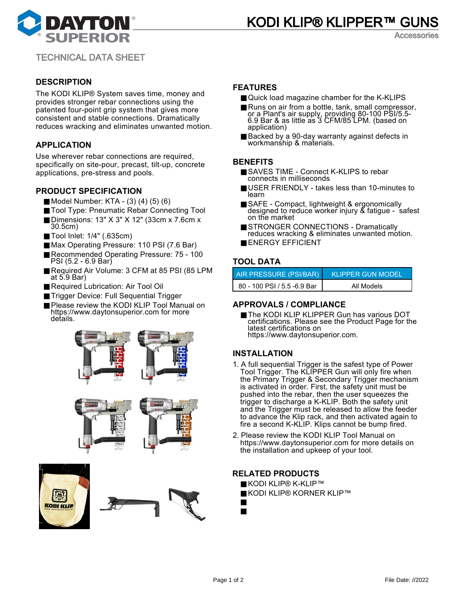



Accessories

TECHNICAL DATA SHEET

# **DESCRIPTION**

The KODI KLIP® System saves time, money and provides stronger rebar connections using the patented four-point grip system that gives more consistent and stable connections. Dramatically reduces wracking and eliminates unwanted motion.

# **APPLICATION**

Use wherever rebar connections are required, specifically on site-pour, precast, tilt-up, concrete applications, pre-stress and pools.

# **PRODUCT SPECIFICATION**

- Model Number: KTA (3) (4) (5) (6)
- Tool Type: Pneumatic Rebar Connecting Tool
- Dimensions: 13" X 3" X 12" (33cm x 7.6cm x 30.5cm)
- Tool Inlet: 1/4" (.635cm)
- Max Operating Pressure: 110 PSI (7.6 Bar)
- Recommended Operating Pressure: 75 100 PSI (5.2 - 6.9 Bar)
- Required Air Volume: 3 CFM at 85 PSI (85 LPM at 5.9 Bar)
- Required Lubrication: Air Tool Oil
- Trigger Device: Full Sequential Trigger
- Please review the KODI KLIP Tool Manual on https://www.daytonsuperior.com for more details.







# **FEATURES**

- Quick load magazine chamber for the K-KLIPS
- Runs on air from a bottle, tank, small compressor, or a Plant's air supply, providing 80-100 PSI/5.5- 6.9 Bar & as little as 3 CFM/85 LPM. (based on application)
- Backed by a 90-day warranty against defects in workmanship & materials.

#### **BENEFITS**

- SAVES TIME Connect K-KLIPS to rebar connects in milliseconds
- USER FRIENDLY takes less than 10-minutes to learn
- SAFE Compact, lightweight & ergonomically designed to reduce worker injury & fatigue - safest on the market
- STRONGER CONNECTIONS Dramatically reduces wracking & eliminates unwanted motion.
- ENERGY EFFICIENT

# **TOOL DATA**

| AIR PRESSURE (PSI/BAR)      | <b>KLIPPER GUN MODEL</b> |
|-----------------------------|--------------------------|
| 80 - 100 PSI / 5.5 -6.9 Bar | All Models               |

### **APPROVALS / COMPLIANCE**

■ The KODI KLIP KLIPPER Gun has various DOT certifications. Please see the Product Page for the latest certifications on https://www.daytonsuperior.com.

### **INSTALLATION**

- 1. A full sequential Trigger is the safest type of Power Tool Trigger. The KLIPPER Gun will only fire when the Primary Trigger & Secondary Trigger mechanism is activated in order. First, the safety unit must be pushed into the rebar, then the user squeezes the trigger to discharge a K-KLIP. Both the safety unit and the Trigger must be released to allow the feeder to advance the Klip rack, and then activated again to fire a second K-KLIP. Klips cannot be bump fired.
- 2. Please review the KODI KLIP Tool Manual on https://www.daytonsuperior.com for more details on the installation and upkeep of your tool.

### **RELATED PRODUCTS**

- KODI KLIP® K-KLIP™
- KODI KLIP® KORNER KLIP™
- KODI KLIP<sup>®</sup> Extension Handle
- KODI KLIP<sup>®</sup> Pouch